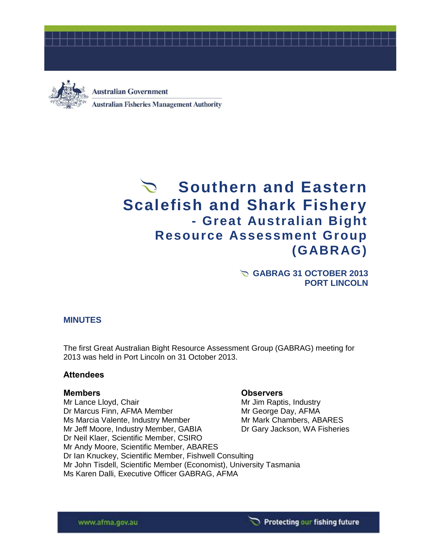



**Australian Government Australian Fisheries Management Authority** 

# Southern and Eastern **Scalefish and Shark Fishery - Great Australian Bight Resource Assessment Group (GABRAG)**

**GABRAG 31 OCTOBER 2013 PORT LINCOLN**

# **MINUTES**

The first Great Australian Bight Resource Assessment Group (GABRAG) meeting for 2013 was held in Port Lincoln on 31 October 2013.

### **Attendees**

### **Members Observers**

Mr Lance Lloyd, Chair Mr Same Mr Jim Raptis, Industry Dr Marcus Finn, AFMA Member Manuel Mr George Day, AFMA Ms Marcia Valente, Industry Member Mr Mark Chambers, ABARES Mr Jeff Moore, Industry Member, GABIA Dr Gary Jackson, WA Fisheries Dr Neil Klaer, Scientific Member, CSIRO Mr Andy Moore, Scientific Member, ABARES Dr Ian Knuckey, Scientific Member, Fishwell Consulting Mr John Tisdell, Scientific Member (Economist), University Tasmania Ms Karen Dalli, Executive Officer GABRAG, AFMA

#### www.afma.gov.au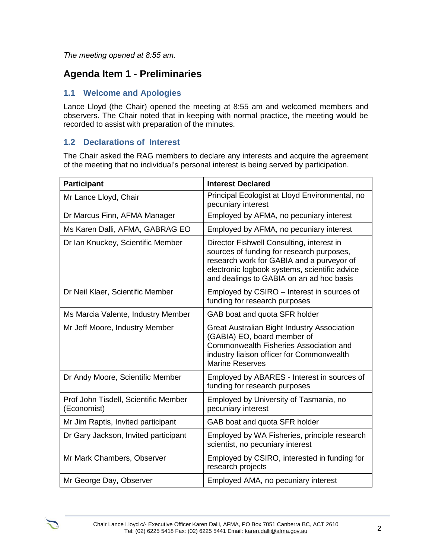*The meeting opened at 8:55 am.* 

# **Agenda Item 1 - Preliminaries**

# **1.1 Welcome and Apologies**

Lance Lloyd (the Chair) opened the meeting at 8:55 am and welcomed members and observers. The Chair noted that in keeping with normal practice, the meeting would be recorded to assist with preparation of the minutes.

# **1.2 Declarations of Interest**

The Chair asked the RAG members to declare any interests and acquire the agreement of the meeting that no individual's personal interest is being served by participation.

| <b>Participant</b>                                  | <b>Interest Declared</b>                                                                                                                                                                                                         |
|-----------------------------------------------------|----------------------------------------------------------------------------------------------------------------------------------------------------------------------------------------------------------------------------------|
| Mr Lance Lloyd, Chair                               | Principal Ecologist at Lloyd Environmental, no<br>pecuniary interest                                                                                                                                                             |
| Dr Marcus Finn, AFMA Manager                        | Employed by AFMA, no pecuniary interest                                                                                                                                                                                          |
| Ms Karen Dalli, AFMA, GABRAG EO                     | Employed by AFMA, no pecuniary interest                                                                                                                                                                                          |
| Dr Ian Knuckey, Scientific Member                   | Director Fishwell Consulting, interest in<br>sources of funding for research purposes,<br>research work for GABIA and a purveyor of<br>electronic logbook systems, scientific advice<br>and dealings to GABIA on an ad hoc basis |
| Dr Neil Klaer, Scientific Member                    | Employed by CSIRO - Interest in sources of<br>funding for research purposes                                                                                                                                                      |
| Ms Marcia Valente, Industry Member                  | GAB boat and quota SFR holder                                                                                                                                                                                                    |
| Mr Jeff Moore, Industry Member                      | Great Australian Bight Industry Association<br>(GABIA) EO, board member of<br>Commonwealth Fisheries Association and<br>industry liaison officer for Commonwealth<br><b>Marine Reserves</b>                                      |
| Dr Andy Moore, Scientific Member                    | Employed by ABARES - Interest in sources of<br>funding for research purposes                                                                                                                                                     |
| Prof John Tisdell, Scientific Member<br>(Economist) | Employed by University of Tasmania, no<br>pecuniary interest                                                                                                                                                                     |
| Mr Jim Raptis, Invited participant                  | GAB boat and quota SFR holder                                                                                                                                                                                                    |
| Dr Gary Jackson, Invited participant                | Employed by WA Fisheries, principle research<br>scientist, no pecuniary interest                                                                                                                                                 |
| Mr Mark Chambers, Observer                          | Employed by CSIRO, interested in funding for<br>research projects                                                                                                                                                                |
| Mr George Day, Observer                             | Employed AMA, no pecuniary interest                                                                                                                                                                                              |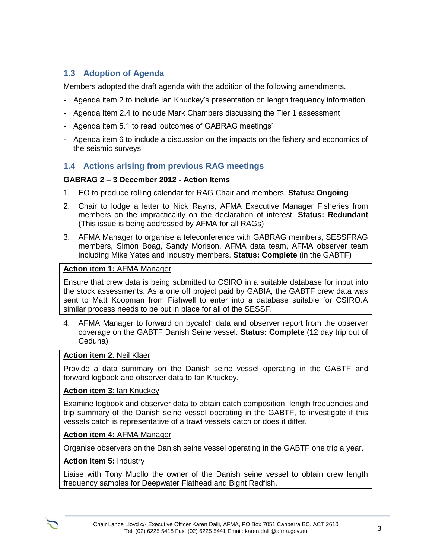# **1.3 Adoption of Agenda**

Members adopted the draft agenda with the addition of the following amendments.

- Agenda item 2 to include Ian Knuckey's presentation on length frequency information.
- Agenda Item 2.4 to include Mark Chambers discussing the Tier 1 assessment
- Agenda item 5.1 to read 'outcomes of GABRAG meetings'
- Agenda item 6 to include a discussion on the impacts on the fishery and economics of the seismic surveys

# **1.4 Actions arising from previous RAG meetings**

### **GABRAG 2 – 3 December 2012 - Action Items**

- 1. EO to produce rolling calendar for RAG Chair and members. **Status: Ongoing**
- 2. Chair to lodge a letter to Nick Rayns, AFMA Executive Manager Fisheries from members on the impracticality on the declaration of interest. **Status: Redundant** (This issue is being addressed by AFMA for all RAGs)
- 3. AFMA Manager to organise a teleconference with GABRAG members, SESSFRAG members, Simon Boag, Sandy Morison, AFMA data team, AFMA observer team including Mike Yates and Industry members. **Status: Complete** (in the GABTF)

# **Action item 1:** AFMA Manager

Ensure that crew data is being submitted to CSIRO in a suitable database for input into the stock assessments. As a one off project paid by GABIA, the GABTF crew data was sent to Matt Koopman from Fishwell to enter into a database suitable for CSIRO.A similar process needs to be put in place for all of the SESSF.

4. AFMA Manager to forward on bycatch data and observer report from the observer coverage on the GABTF Danish Seine vessel. **Status: Complete** (12 day trip out of Ceduna)

### **Action item 2**: Neil Klaer

Provide a data summary on the Danish seine vessel operating in the GABTF and forward logbook and observer data to Ian Knuckey.

### **Action item 3**: Ian Knuckey

Examine logbook and observer data to obtain catch composition, length frequencies and trip summary of the Danish seine vessel operating in the GABTF, to investigate if this vessels catch is representative of a trawl vessels catch or does it differ.

### **Action item 4:** AFMA Manager

Organise observers on the Danish seine vessel operating in the GABTF one trip a year.

# **Action item 5:** Industry

Liaise with Tony Muollo the owner of the Danish seine vessel to obtain crew length frequency samples for Deepwater Flathead and Bight Redfish.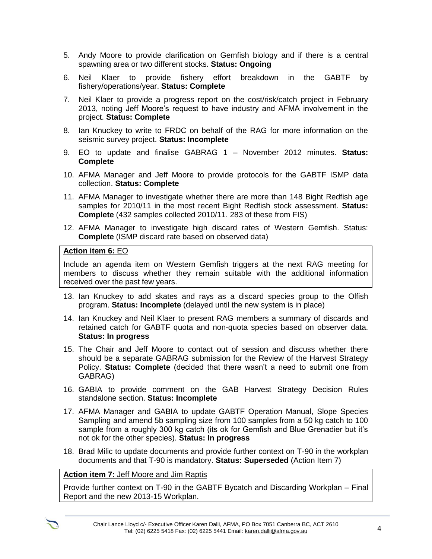- 5. Andy Moore to provide clarification on Gemfish biology and if there is a central spawning area or two different stocks. **Status: Ongoing**
- 6. Neil Klaer to provide fishery effort breakdown in the GABTF by fishery/operations/year. **Status: Complete**
- 7. Neil Klaer to provide a progress report on the cost/risk/catch project in February 2013, noting Jeff Moore's request to have industry and AFMA involvement in the project. **Status: Complete**
- 8. Ian Knuckey to write to FRDC on behalf of the RAG for more information on the seismic survey project. **Status: Incomplete**
- 9. EO to update and finalise GABRAG 1 November 2012 minutes. **Status: Complete**
- 10. AFMA Manager and Jeff Moore to provide protocols for the GABTF ISMP data collection. **Status: Complete**
- 11. AFMA Manager to investigate whether there are more than 148 Bight Redfish age samples for 2010/11 in the most recent Bight Redfish stock assessment. **Status: Complete** (432 samples collected 2010/11. 283 of these from FIS)
- 12. AFMA Manager to investigate high discard rates of Western Gemfish. Status: **Complete** (ISMP discard rate based on observed data)

#### **Action item 6:** EO

Include an agenda item on Western Gemfish triggers at the next RAG meeting for members to discuss whether they remain suitable with the additional information received over the past few years.

- 13. Ian Knuckey to add skates and rays as a discard species group to the Olfish program. **Status: Incomplete** (delayed until the new system is in place)
- 14. Ian Knuckey and Neil Klaer to present RAG members a summary of discards and retained catch for GABTF quota and non-quota species based on observer data. **Status: In progress**
- 15. The Chair and Jeff Moore to contact out of session and discuss whether there should be a separate GABRAG submission for the Review of the Harvest Strategy Policy. **Status: Complete** (decided that there wasn't a need to submit one from GABRAG)
- 16. GABIA to provide comment on the GAB Harvest Strategy Decision Rules standalone section. **Status: Incomplete**
- 17. AFMA Manager and GABIA to update GABTF Operation Manual, Slope Species Sampling and amend 5b sampling size from 100 samples from a 50 kg catch to 100 sample from a roughly 300 kg catch (its ok for Gemfish and Blue Grenadier but it's not ok for the other species). **Status: In progress**
- 18. Brad Milic to update documents and provide further context on T-90 in the workplan documents and that T-90 is mandatory. **Status: Superseded** (Action Item 7)

#### **Action item 7:** Jeff Moore and Jim Raptis

Provide further context on T-90 in the GABTF Bycatch and Discarding Workplan – Final Report and the new 2013-15 Workplan.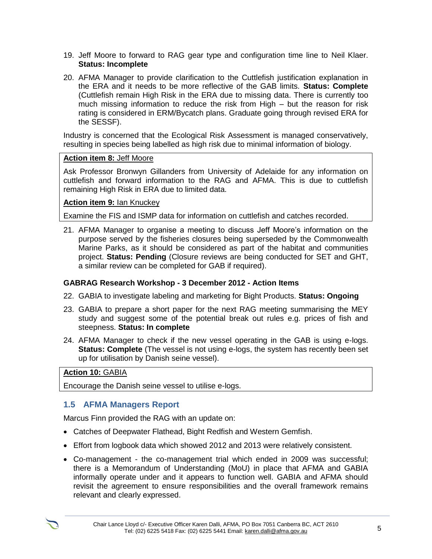- 19. Jeff Moore to forward to RAG gear type and configuration time line to Neil Klaer. **Status: Incomplete**
- 20. AFMA Manager to provide clarification to the Cuttlefish justification explanation in the ERA and it needs to be more reflective of the GAB limits. **Status: Complete** (Cuttlefish remain High Risk in the ERA due to missing data. There is currently too much missing information to reduce the risk from High – but the reason for risk rating is considered in ERM/Bycatch plans. Graduate going through revised ERA for the SESSF).

Industry is concerned that the Ecological Risk Assessment is managed conservatively, resulting in species being labelled as high risk due to minimal information of biology.

### **Action item 8:** Jeff Moore

Ask Professor Bronwyn Gillanders from University of Adelaide for any information on cuttlefish and forward information to the RAG and AFMA. This is due to cuttlefish remaining High Risk in ERA due to limited data.

#### **Action item 9:** Ian Knuckey

Examine the FIS and ISMP data for information on cuttlefish and catches recorded.

21. AFMA Manager to organise a meeting to discuss Jeff Moore's information on the purpose served by the fisheries closures being superseded by the Commonwealth Marine Parks, as it should be considered as part of the habitat and communities project. **Status: Pending** (Closure reviews are being conducted for SET and GHT, a similar review can be completed for GAB if required).

### **GABRAG Research Workshop - 3 December 2012 - Action Items**

- 22. GABIA to investigate labeling and marketing for Bight Products. **Status: Ongoing**
- 23. GABIA to prepare a short paper for the next RAG meeting summarising the MEY study and suggest some of the potential break out rules e.g. prices of fish and steepness. **Status: In complete**
- 24. AFMA Manager to check if the new vessel operating in the GAB is using e-logs. **Status: Complete** (The vessel is not using e-logs, the system has recently been set up for utilisation by Danish seine vessel).

#### **Action 10:** GABIA

Encourage the Danish seine vessel to utilise e-logs.

# **1.5 AFMA Managers Report**

Marcus Finn provided the RAG with an update on:

- Catches of Deepwater Flathead, Bight Redfish and Western Gemfish.
- Effort from logbook data which showed 2012 and 2013 were relatively consistent.
- Co-management the co-management trial which ended in 2009 was successful; there is a Memorandum of Understanding (MoU) in place that AFMA and GABIA informally operate under and it appears to function well. GABIA and AFMA should revisit the agreement to ensure responsibilities and the overall framework remains relevant and clearly expressed.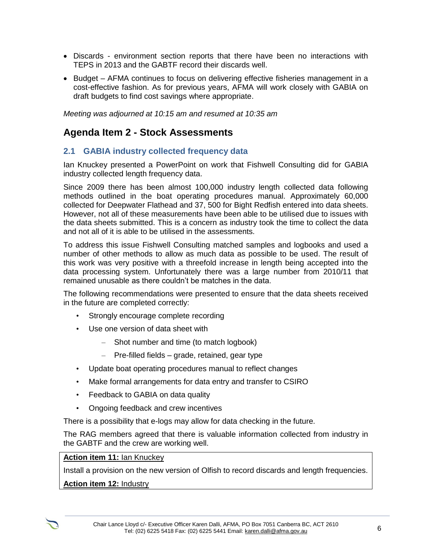- Discards environment section reports that there have been no interactions with TEPS in 2013 and the GABTF record their discards well.
- Budget AFMA continues to focus on delivering effective fisheries management in a cost-effective fashion. As for previous years, AFMA will work closely with GABIA on draft budgets to find cost savings where appropriate.

*Meeting was adjourned at 10:15 am and resumed at 10:35 am*

# **Agenda Item 2 - Stock Assessments**

# **2.1 GABIA industry collected frequency data**

Ian Knuckey presented a PowerPoint on work that Fishwell Consulting did for GABIA industry collected length frequency data.

Since 2009 there has been almost 100,000 industry length collected data following methods outlined in the boat operating procedures manual. Approximately 60,000 collected for Deepwater Flathead and 37, 500 for Bight Redfish entered into data sheets. However, not all of these measurements have been able to be utilised due to issues with the data sheets submitted. This is a concern as industry took the time to collect the data and not all of it is able to be utilised in the assessments.

To address this issue Fishwell Consulting matched samples and logbooks and used a number of other methods to allow as much data as possible to be used. The result of this work was very positive with a threefold increase in length being accepted into the data processing system. Unfortunately there was a large number from 2010/11 that remained unusable as there couldn't be matches in the data.

The following recommendations were presented to ensure that the data sheets received in the future are completed correctly:

- Strongly encourage complete recording
- Use one version of data sheet with
	- Shot number and time (to match logbook)
	- Pre-filled fields grade, retained, gear type
- Update boat operating procedures manual to reflect changes
- Make formal arrangements for data entry and transfer to CSIRO
- Feedback to GABIA on data quality
- Ongoing feedback and crew incentives

There is a possibility that e-logs may allow for data checking in the future.

The RAG members agreed that there is valuable information collected from industry in the GABTF and the crew are working well.

#### **Action item 11:** Ian Knuckey

Install a provision on the new version of Olfish to record discards and length frequencies.

**Action item 12:** Industry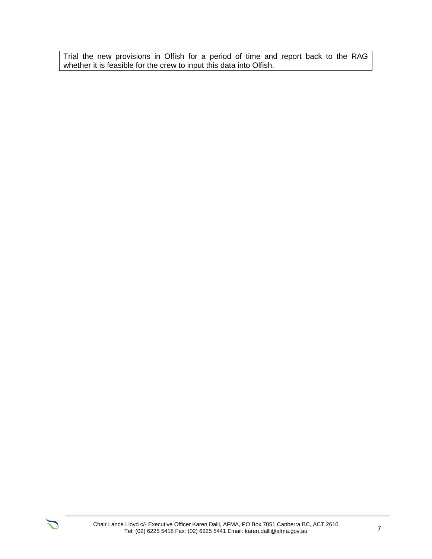Trial the new provisions in Olfish for a period of time and report back to the RAG whether it is feasible for the crew to input this data into Olfish.

 $\sum$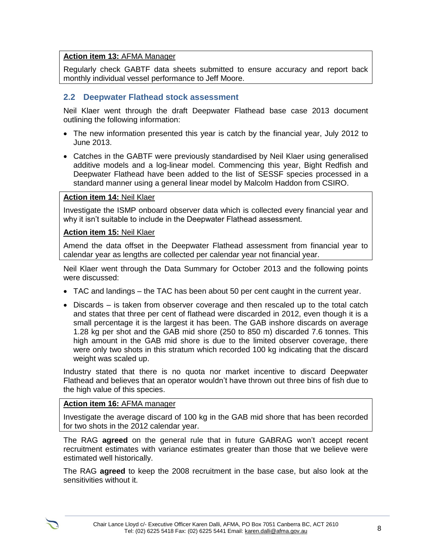### **Action item 13:** AFMA Manager

Regularly check GABTF data sheets submitted to ensure accuracy and report back monthly individual vessel performance to Jeff Moore.

#### **2.2 Deepwater Flathead stock assessment**

Neil Klaer went through the draft Deepwater Flathead base case 2013 document outlining the following information:

- The new information presented this year is catch by the financial year, July 2012 to June 2013.
- Catches in the GABTF were previously standardised by Neil Klaer using generalised additive models and a log-linear model. Commencing this year, Bight Redfish and Deepwater Flathead have been added to the list of SESSF species processed in a standard manner using a general linear model by Malcolm Haddon from CSIRO.

#### **Action item 14:** Neil Klaer

Investigate the ISMP onboard observer data which is collected every financial year and why it isn't suitable to include in the Deepwater Flathead assessment.

#### **Action item 15:** Neil Klaer

Amend the data offset in the Deepwater Flathead assessment from financial year to calendar year as lengths are collected per calendar year not financial year.

Neil Klaer went through the Data Summary for October 2013 and the following points were discussed:

- TAC and landings the TAC has been about 50 per cent caught in the current year.
- Discards is taken from observer coverage and then rescaled up to the total catch and states that three per cent of flathead were discarded in 2012, even though it is a small percentage it is the largest it has been. The GAB inshore discards on average 1.28 kg per shot and the GAB mid shore (250 to 850 m) discarded 7.6 tonnes. This high amount in the GAB mid shore is due to the limited observer coverage, there were only two shots in this stratum which recorded 100 kg indicating that the discard weight was scaled up.

Industry stated that there is no quota nor market incentive to discard Deepwater Flathead and believes that an operator wouldn't have thrown out three bins of fish due to the high value of this species.

#### **Action item 16:** AFMA manager

Investigate the average discard of 100 kg in the GAB mid shore that has been recorded for two shots in the 2012 calendar year.

The RAG **agreed** on the general rule that in future GABRAG won't accept recent recruitment estimates with variance estimates greater than those that we believe were estimated well historically.

The RAG **agreed** to keep the 2008 recruitment in the base case, but also look at the sensitivities without it.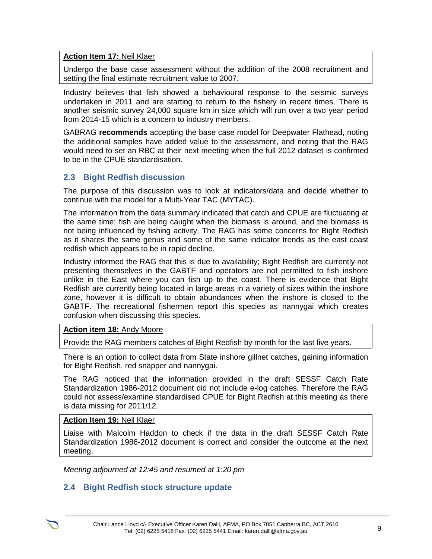# **Action Item 17:** Neil Klaer

Undergo the base case assessment without the addition of the 2008 recruitment and setting the final estimate recruitment value to 2007.

Industry believes that fish showed a behavioural response to the seismic surveys undertaken in 2011 and are starting to return to the fishery in recent times. There is another seismic survey 24,000 square km in size which will run over a two year period from 2014-15 which is a concern to industry members.

GABRAG **recommends** accepting the base case model for Deepwater Flathead, noting the additional samples have added value to the assessment, and noting that the RAG would need to set an RBC at their next meeting when the full 2012 dataset is confirmed to be in the CPUE standardisation.

# **2.3 Bight Redfish discussion**

The purpose of this discussion was to look at indicators/data and decide whether to continue with the model for a Multi-Year TAC (MYTAC).

The information from the data summary indicated that catch and CPUE are fluctuating at the same time; fish are being caught when the biomass is around, and the biomass is not being influenced by fishing activity. The RAG has some concerns for Bight Redfish as it shares the same genus and some of the same indicator trends as the east coast redfish which appears to be in rapid decline.

Industry informed the RAG that this is due to availability; Bight Redfish are currently not presenting themselves in the GABTF and operators are not permitted to fish inshore unlike in the East where you can fish up to the coast. There is evidence that Bight Redfish are currently being located in large areas in a variety of sizes within the inshore zone, however it is difficult to obtain abundances when the inshore is closed to the GABTF. The recreational fishermen report this species as nannygai which creates confusion when discussing this species.

### **Action item 18:** Andy Moore

Provide the RAG members catches of Bight Redfish by month for the last five years.

There is an option to collect data from State inshore gillnet catches, gaining information for Bight Redfish, red snapper and nannygai.

The RAG noticed that the information provided in the draft SESSF Catch Rate Standardization 1986-2012 document did not include e-log catches. Therefore the RAG could not assess/examine standardised CPUE for Bight Redfish at this meeting as there is data missing for 2011/12.

#### **Action Item 19:** Neil Klaer

Liaise with Malcolm Haddon to check if the data in the draft SESSF Catch Rate Standardization 1986-2012 document is correct and consider the outcome at the next meeting.

*Meeting adjourned at 12:45 and resumed at 1:20 pm*

# **2.4 Bight Redfish stock structure update**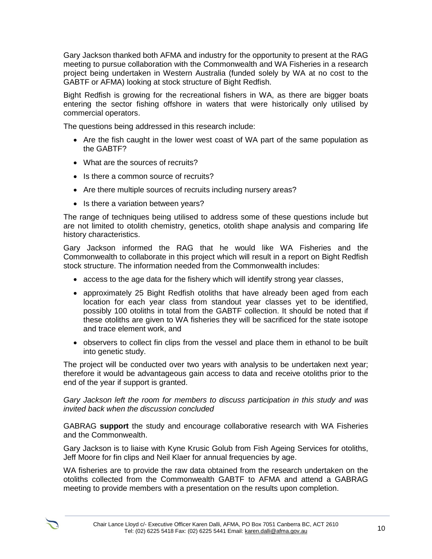Gary Jackson thanked both AFMA and industry for the opportunity to present at the RAG meeting to pursue collaboration with the Commonwealth and WA Fisheries in a research project being undertaken in Western Australia (funded solely by WA at no cost to the GABTF or AFMA) looking at stock structure of Bight Redfish.

Bight Redfish is growing for the recreational fishers in WA, as there are bigger boats entering the sector fishing offshore in waters that were historically only utilised by commercial operators.

The questions being addressed in this research include:

- Are the fish caught in the lower west coast of WA part of the same population as the GABTF?
- What are the sources of recruits?
- Is there a common source of recruits?
- Are there multiple sources of recruits including nursery areas?
- Is there a variation between years?

The range of techniques being utilised to address some of these questions include but are not limited to otolith chemistry, genetics, otolith shape analysis and comparing life history characteristics.

Gary Jackson informed the RAG that he would like WA Fisheries and the Commonwealth to collaborate in this project which will result in a report on Bight Redfish stock structure. The information needed from the Commonwealth includes:

- access to the age data for the fishery which will identify strong year classes,
- approximately 25 Bight Redfish otoliths that have already been aged from each location for each year class from standout year classes yet to be identified, possibly 100 otoliths in total from the GABTF collection. It should be noted that if these otoliths are given to WA fisheries they will be sacrificed for the state isotope and trace element work, and
- observers to collect fin clips from the vessel and place them in ethanol to be built into genetic study.

The project will be conducted over two years with analysis to be undertaken next year; therefore it would be advantageous gain access to data and receive otoliths prior to the end of the year if support is granted.

*Gary Jackson left the room for members to discuss participation in this study and was invited back when the discussion concluded*

GABRAG **support** the study and encourage collaborative research with WA Fisheries and the Commonwealth.

Gary Jackson is to liaise with Kyne Krusic Golub from Fish Ageing Services for otoliths, Jeff Moore for fin clips and Neil Klaer for annual frequencies by age.

WA fisheries are to provide the raw data obtained from the research undertaken on the otoliths collected from the Commonwealth GABTF to AFMA and attend a GABRAG meeting to provide members with a presentation on the results upon completion.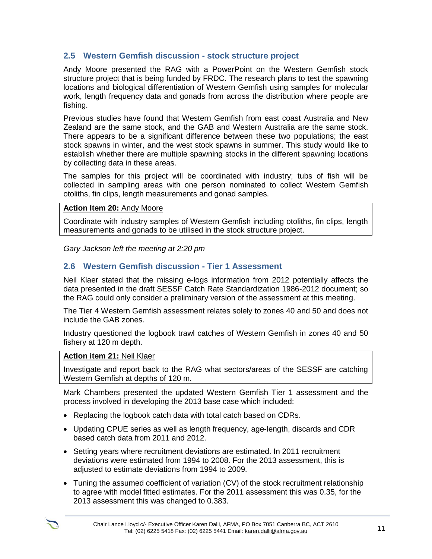# **2.5 Western Gemfish discussion - stock structure project**

Andy Moore presented the RAG with a PowerPoint on the Western Gemfish stock structure project that is being funded by FRDC. The research plans to test the spawning locations and biological differentiation of Western Gemfish using samples for molecular work, length frequency data and gonads from across the distribution where people are fishing.

Previous studies have found that Western Gemfish from east coast Australia and New Zealand are the same stock, and the GAB and Western Australia are the same stock. There appears to be a significant difference between these two populations; the east stock spawns in winter, and the west stock spawns in summer. This study would like to establish whether there are multiple spawning stocks in the different spawning locations by collecting data in these areas.

The samples for this project will be coordinated with industry; tubs of fish will be collected in sampling areas with one person nominated to collect Western Gemfish otoliths, fin clips, length measurements and gonad samples.

### **Action Item 20:** Andy Moore

Coordinate with industry samples of Western Gemfish including otoliths, fin clips, length measurements and gonads to be utilised in the stock structure project.

*Gary Jackson left the meeting at 2:20 pm*

# **2.6 Western Gemfish discussion - Tier 1 Assessment**

Neil Klaer stated that the missing e-logs information from 2012 potentially affects the data presented in the draft SESSF Catch Rate Standardization 1986-2012 document; so the RAG could only consider a preliminary version of the assessment at this meeting.

The Tier 4 Western Gemfish assessment relates solely to zones 40 and 50 and does not include the GAB zones.

Industry questioned the logbook trawl catches of Western Gemfish in zones 40 and 50 fishery at 120 m depth.

#### **Action item 21:** Neil Klaer

Investigate and report back to the RAG what sectors/areas of the SESSF are catching Western Gemfish at depths of 120 m.

Mark Chambers presented the updated Western Gemfish Tier 1 assessment and the process involved in developing the 2013 base case which included:

- Replacing the logbook catch data with total catch based on CDRs.
- Updating CPUE series as well as length frequency, age-length, discards and CDR based catch data from 2011 and 2012.
- Setting years where recruitment deviations are estimated. In 2011 recruitment deviations were estimated from 1994 to 2008. For the 2013 assessment, this is adjusted to estimate deviations from 1994 to 2009.
- Tuning the assumed coefficient of variation (CV) of the stock recruitment relationship to agree with model fitted estimates. For the 2011 assessment this was 0.35, for the 2013 assessment this was changed to 0.383.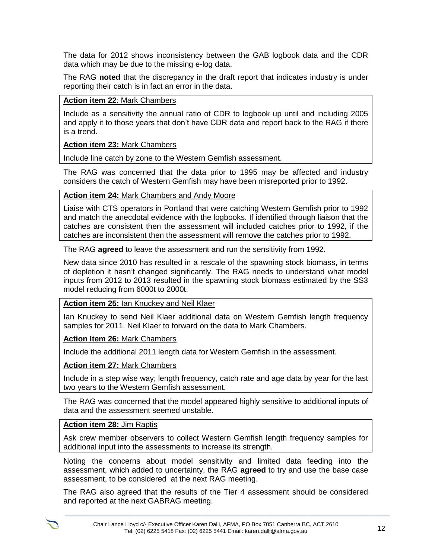The data for 2012 shows inconsistency between the GAB logbook data and the CDR data which may be due to the missing e-log data.

The RAG **noted** that the discrepancy in the draft report that indicates industry is under reporting their catch is in fact an error in the data.

### **Action item 22**: Mark Chambers

Include as a sensitivity the annual ratio of CDR to logbook up until and including 2005 and apply it to those years that don't have CDR data and report back to the RAG if there is a trend.

# **Action item 23:** Mark Chambers

Include line catch by zone to the Western Gemfish assessment.

The RAG was concerned that the data prior to 1995 may be affected and industry considers the catch of Western Gemfish may have been misreported prior to 1992.

# **Action item 24:** Mark Chambers and Andy Moore

Liaise with CTS operators in Portland that were catching Western Gemfish prior to 1992 and match the anecdotal evidence with the logbooks. If identified through liaison that the catches are consistent then the assessment will included catches prior to 1992, if the catches are inconsistent then the assessment will remove the catches prior to 1992.

The RAG **agreed** to leave the assessment and run the sensitivity from 1992.

New data since 2010 has resulted in a rescale of the spawning stock biomass, in terms of depletion it hasn't changed significantly. The RAG needs to understand what model inputs from 2012 to 2013 resulted in the spawning stock biomass estimated by the SS3 model reducing from 6000t to 2000t.

### **Action item 25:** Ian Knuckey and Neil Klaer

Ian Knuckey to send Neil Klaer additional data on Western Gemfish length frequency samples for 2011. Neil Klaer to forward on the data to Mark Chambers.

**Action Item 26:** Mark Chambers

Include the additional 2011 length data for Western Gemfish in the assessment.

### **Action item 27:** Mark Chambers

Include in a step wise way; length frequency, catch rate and age data by year for the last two years to the Western Gemfish assessment.

The RAG was concerned that the model appeared highly sensitive to additional inputs of data and the assessment seemed unstable.

# **Action item 28:** Jim Raptis

Ask crew member observers to collect Western Gemfish length frequency samples for additional input into the assessments to increase its strength.

Noting the concerns about model sensitivity and limited data feeding into the assessment, which added to uncertainty, the RAG **agreed** to try and use the base case assessment, to be considered at the next RAG meeting.

The RAG also agreed that the results of the Tier 4 assessment should be considered and reported at the next GABRAG meeting.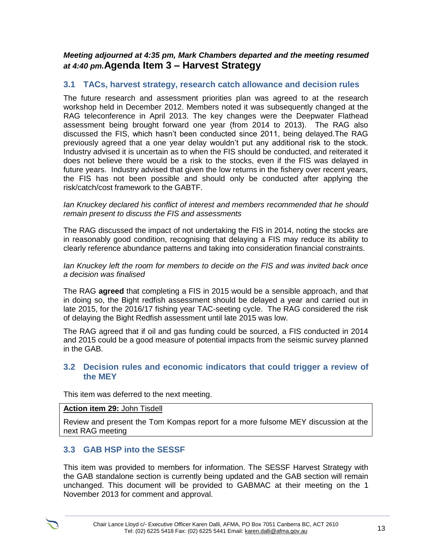*Meeting adjourned at 4:35 pm, Mark Chambers departed and the meeting resumed at 4:40 pm.***Agenda Item 3 – Harvest Strategy**

# **3.1 TACs, harvest strategy, research catch allowance and decision rules**

The future research and assessment priorities plan was agreed to at the research workshop held in December 2012. Members noted it was subsequently changed at the RAG teleconference in April 2013. The key changes were the Deepwater Flathead assessment being brought forward one year (from 2014 to 2013). The RAG also discussed the FIS, which hasn't been conducted since 2011, being delayed.The RAG previously agreed that a one year delay wouldn't put any additional risk to the stock. Industry advised it is uncertain as to when the FIS should be conducted, and reiterated it does not believe there would be a risk to the stocks, even if the FIS was delayed in future years. Industry advised that given the low returns in the fishery over recent years, the FIS has not been possible and should only be conducted after applying the risk/catch/cost framework to the GABTF.

*Ian Knuckey declared his conflict of interest and members recommended that he should remain present to discuss the FIS and assessments*

The RAG discussed the impact of not undertaking the FIS in 2014, noting the stocks are in reasonably good condition, recognising that delaying a FIS may reduce its ability to clearly reference abundance patterns and taking into consideration financial constraints.

*Ian Knuckey left the room for members to decide on the FIS and was invited back once a decision was finalised*

The RAG **agreed** that completing a FIS in 2015 would be a sensible approach, and that in doing so, the Bight redfish assessment should be delayed a year and carried out in late 2015, for the 2016/17 fishing year TAC-seeting cycle. The RAG considered the risk of delaying the Bight Redfish assessment until late 2015 was low.

The RAG agreed that if oil and gas funding could be sourced, a FIS conducted in 2014 and 2015 could be a good measure of potential impacts from the seismic survey planned in the GAB.

# **3.2 Decision rules and economic indicators that could trigger a review of the MEY**

This item was deferred to the next meeting.

#### **Action item 29:** John Tisdell

Review and present the Tom Kompas report for a more fulsome MEY discussion at the next RAG meeting

# **3.3 GAB HSP into the SESSF**

This item was provided to members for information. The SESSF Harvest Strategy with the GAB standalone section is currently being updated and the GAB section will remain unchanged. This document will be provided to GABMAC at their meeting on the 1 November 2013 for comment and approval.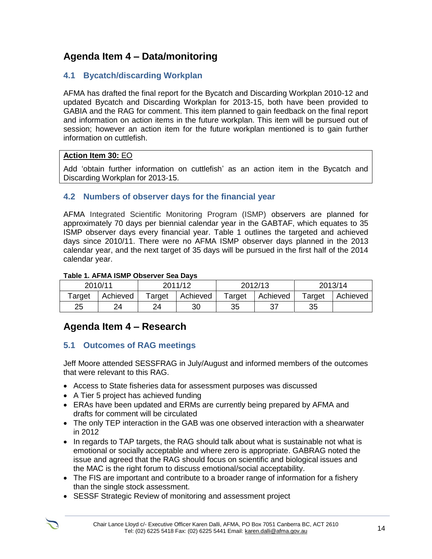# **Agenda Item 4 – Data/monitoring**

# **4.1 Bycatch/discarding Workplan**

AFMA has drafted the final report for the Bycatch and Discarding Workplan 2010-12 and updated Bycatch and Discarding Workplan for 2013-15, both have been provided to GABIA and the RAG for comment. This item planned to gain feedback on the final report and information on action items in the future workplan. This item will be pursued out of session; however an action item for the future workplan mentioned is to gain further information on cuttlefish.

# **Action Item 30:** EO

Add 'obtain further information on cuttlefish' as an action item in the Bycatch and Discarding Workplan for 2013-15.

# **4.2 Numbers of observer days for the financial year**

AFMA Integrated Scientific Monitoring Program (ISMP) observers are planned for approximately 70 days per biennial calendar year in the GABTAF, which equates to 35 ISMP observer days every financial year. Table 1 outlines the targeted and achieved days since 2010/11. There were no AFMA ISMP observer days planned in the 2013 calendar year, and the next target of 35 days will be pursued in the first half of the 2014 calendar year.

# **Table 1. AFMA ISMP Observer Sea Days**

| 2010/11 |          | 2011/12 |          | 2012/13 |          | 2013/14 |          |
|---------|----------|---------|----------|---------|----------|---------|----------|
| Target  | Achieved | Target  | Achieved | Target  | Achieved | Target  | Achieved |
| 25      | 24       | 24      | 30       | 35      |          | 35      |          |

# **Agenda Item 4 – Research**

# **5.1 Outcomes of RAG meetings**

Jeff Moore attended SESSFRAG in July/August and informed members of the outcomes that were relevant to this RAG.

- Access to State fisheries data for assessment purposes was discussed
- A Tier 5 project has achieved funding
- ERAs have been updated and ERMs are currently being prepared by AFMA and drafts for comment will be circulated
- The only TEP interaction in the GAB was one observed interaction with a shearwater in 2012
- In regards to TAP targets, the RAG should talk about what is sustainable not what is emotional or socially acceptable and where zero is appropriate. GABRAG noted the issue and agreed that the RAG should focus on scientific and biological issues and the MAC is the right forum to discuss emotional/social acceptability.
- The FIS are important and contribute to a broader range of information for a fishery than the single stock assessment.
- SESSF Strategic Review of monitoring and assessment project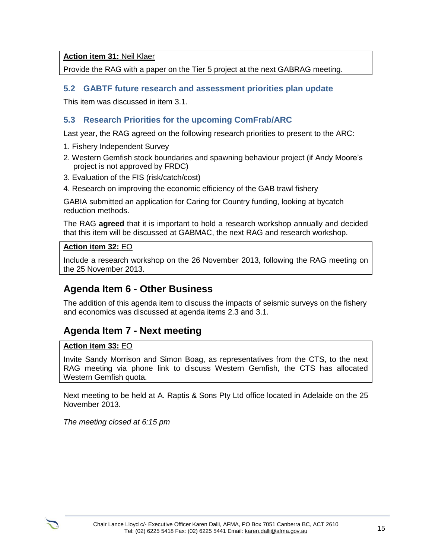**Action item 31:** Neil Klaer

Provide the RAG with a paper on the Tier 5 project at the next GABRAG meeting.

# **5.2 GABTF future research and assessment priorities plan update**

This item was discussed in item 3.1.

# **5.3 Research Priorities for the upcoming ComFrab/ARC**

Last year, the RAG agreed on the following research priorities to present to the ARC:

- 1. Fishery Independent Survey
- 2. Western Gemfish stock boundaries and spawning behaviour project (if Andy Moore's project is not approved by FRDC)
- 3. Evaluation of the FIS (risk/catch/cost)
- 4. Research on improving the economic efficiency of the GAB trawl fishery

GABIA submitted an application for Caring for Country funding, looking at bycatch reduction methods.

The RAG **agreed** that it is important to hold a research workshop annually and decided that this item will be discussed at GABMAC, the next RAG and research workshop.

### **Action item 32:** EO

Include a research workshop on the 26 November 2013, following the RAG meeting on the 25 November 2013.

# **Agenda Item 6 - Other Business**

The addition of this agenda item to discuss the impacts of seismic surveys on the fishery and economics was discussed at agenda items 2.3 and 3.1.

# **Agenda Item 7 - Next meeting**

### **Action item 33:** EO

Invite Sandy Morrison and Simon Boag, as representatives from the CTS, to the next RAG meeting via phone link to discuss Western Gemfish, the CTS has allocated Western Gemfish quota.

Next meeting to be held at A. Raptis & Sons Pty Ltd office located in Adelaide on the 25 November 2013.

*The meeting closed at 6:15 pm*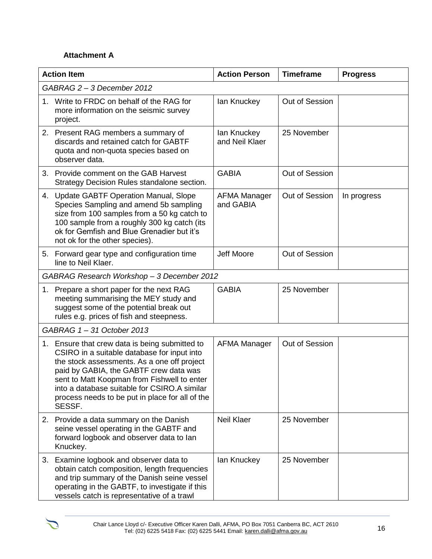# **Attachment A**

| <b>Action Item</b>         |                                                                                                                                                                                                                                                                                                                                                    | <b>Action Person</b>          | <b>Timeframe</b> | <b>Progress</b> |  |
|----------------------------|----------------------------------------------------------------------------------------------------------------------------------------------------------------------------------------------------------------------------------------------------------------------------------------------------------------------------------------------------|-------------------------------|------------------|-----------------|--|
| GABRAG 2 - 3 December 2012 |                                                                                                                                                                                                                                                                                                                                                    |                               |                  |                 |  |
|                            | 1. Write to FRDC on behalf of the RAG for<br>more information on the seismic survey<br>project.                                                                                                                                                                                                                                                    | lan Knuckey                   | Out of Session   |                 |  |
|                            | 2. Present RAG members a summary of<br>discards and retained catch for GABTF<br>quota and non-quota species based on<br>observer data.                                                                                                                                                                                                             | lan Knuckey<br>and Neil Klaer | 25 November      |                 |  |
| 3.                         | Provide comment on the GAB Harvest<br>Strategy Decision Rules standalone section.                                                                                                                                                                                                                                                                  | <b>GABIA</b>                  | Out of Session   |                 |  |
|                            | 4. Update GABTF Operation Manual, Slope<br>Species Sampling and amend 5b sampling<br>size from 100 samples from a 50 kg catch to<br>100 sample from a roughly 300 kg catch (its<br>ok for Gemfish and Blue Grenadier but it's<br>not ok for the other species).                                                                                    | AFMA Manager<br>and GABIA     | Out of Session   | In progress     |  |
|                            | 5. Forward gear type and configuration time<br>line to Neil Klaer.                                                                                                                                                                                                                                                                                 | Jeff Moore                    | Out of Session   |                 |  |
|                            | GABRAG Research Workshop - 3 December 2012                                                                                                                                                                                                                                                                                                         |                               |                  |                 |  |
| 1.                         | Prepare a short paper for the next RAG<br>meeting summarising the MEY study and<br>suggest some of the potential break out<br>rules e.g. prices of fish and steepness.                                                                                                                                                                             | <b>GABIA</b>                  | 25 November      |                 |  |
|                            | GABRAG 1-31 October 2013                                                                                                                                                                                                                                                                                                                           |                               |                  |                 |  |
|                            | 1. Ensure that crew data is being submitted to<br>CSIRO in a suitable database for input into<br>the stock assessments. As a one off project<br>paid by GABIA, the GABTF crew data was<br>sent to Matt Koopman from Fishwell to enter<br>into a database suitable for CSIRO.A similar<br>process needs to be put in place for all of the<br>SESSF. | AFMA Manager                  | Out of Session   |                 |  |
|                            | 2. Provide a data summary on the Danish<br>seine vessel operating in the GABTF and<br>forward logbook and observer data to lan<br>Knuckey.                                                                                                                                                                                                         | <b>Neil Klaer</b>             | 25 November      |                 |  |
|                            | 3. Examine logbook and observer data to<br>obtain catch composition, length frequencies<br>and trip summary of the Danish seine vessel<br>operating in the GABTF, to investigate if this<br>vessels catch is representative of a trawl                                                                                                             | lan Knuckey                   | 25 November      |                 |  |

 $\sum$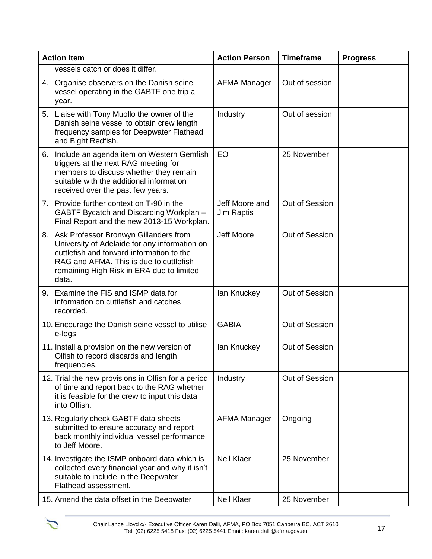| <b>Action Item</b> |                                                                                                                                                                                                                                         | <b>Action Person</b>                | <b>Timeframe</b> | <b>Progress</b> |
|--------------------|-----------------------------------------------------------------------------------------------------------------------------------------------------------------------------------------------------------------------------------------|-------------------------------------|------------------|-----------------|
|                    | vessels catch or does it differ.                                                                                                                                                                                                        |                                     |                  |                 |
|                    | 4. Organise observers on the Danish seine<br>vessel operating in the GABTF one trip a<br>year.                                                                                                                                          | <b>AFMA Manager</b>                 | Out of session   |                 |
|                    | 5. Liaise with Tony Muollo the owner of the<br>Danish seine vessel to obtain crew length<br>frequency samples for Deepwater Flathead<br>and Bight Redfish.                                                                              | Industry                            | Out of session   |                 |
|                    | 6. Include an agenda item on Western Gemfish<br>triggers at the next RAG meeting for<br>members to discuss whether they remain<br>suitable with the additional information<br>received over the past few years.                         | <b>EO</b>                           | 25 November      |                 |
|                    | 7. Provide further context on T-90 in the<br>GABTF Bycatch and Discarding Workplan -<br>Final Report and the new 2013-15 Workplan.                                                                                                      | Jeff Moore and<br><b>Jim Raptis</b> | Out of Session   |                 |
|                    | 8. Ask Professor Bronwyn Gillanders from<br>University of Adelaide for any information on<br>cuttlefish and forward information to the<br>RAG and AFMA. This is due to cuttlefish<br>remaining High Risk in ERA due to limited<br>data. | Jeff Moore                          | Out of Session   |                 |
|                    | 9. Examine the FIS and ISMP data for<br>information on cuttlefish and catches<br>recorded.                                                                                                                                              | lan Knuckey                         | Out of Session   |                 |
|                    | 10. Encourage the Danish seine vessel to utilise<br>e-logs                                                                                                                                                                              | <b>GABIA</b>                        | Out of Session   |                 |
|                    | 11. Install a provision on the new version of<br>Olfish to record discards and length<br>frequencies.                                                                                                                                   | lan Knuckey                         | Out of Session   |                 |
|                    | 12. Trial the new provisions in Olfish for a period<br>of time and report back to the RAG whether<br>it is feasible for the crew to input this data<br>into Olfish.                                                                     | Industry                            | Out of Session   |                 |
|                    | 13. Regularly check GABTF data sheets<br>submitted to ensure accuracy and report<br>back monthly individual vessel performance<br>to Jeff Moore.                                                                                        | AFMA Manager                        | Ongoing          |                 |
|                    | 14. Investigate the ISMP onboard data which is<br>collected every financial year and why it isn't<br>suitable to include in the Deepwater<br>Flathead assessment.                                                                       | <b>Neil Klaer</b>                   | 25 November      |                 |
|                    | 15. Amend the data offset in the Deepwater                                                                                                                                                                                              | Neil Klaer                          | 25 November      |                 |

 $\sum$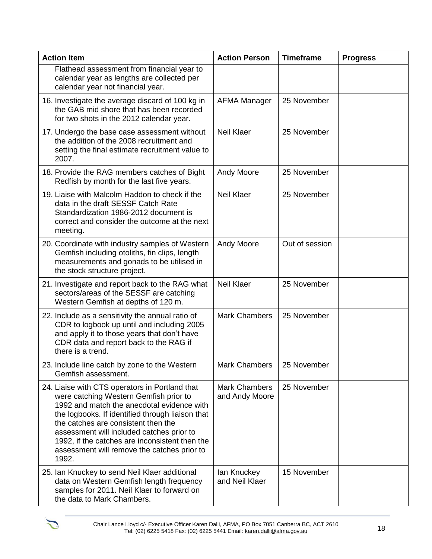| <b>Action Item</b>                                                                                                                                                                                                                                                                                                                                                                       | <b>Action Person</b>                   | <b>Timeframe</b> | <b>Progress</b> |
|------------------------------------------------------------------------------------------------------------------------------------------------------------------------------------------------------------------------------------------------------------------------------------------------------------------------------------------------------------------------------------------|----------------------------------------|------------------|-----------------|
| Flathead assessment from financial year to<br>calendar year as lengths are collected per<br>calendar year not financial year.                                                                                                                                                                                                                                                            |                                        |                  |                 |
| 16. Investigate the average discard of 100 kg in<br>the GAB mid shore that has been recorded<br>for two shots in the 2012 calendar year.                                                                                                                                                                                                                                                 | <b>AFMA Manager</b>                    | 25 November      |                 |
| 17. Undergo the base case assessment without<br>the addition of the 2008 recruitment and<br>setting the final estimate recruitment value to<br>2007.                                                                                                                                                                                                                                     | <b>Neil Klaer</b>                      | 25 November      |                 |
| 18. Provide the RAG members catches of Bight<br>Redfish by month for the last five years.                                                                                                                                                                                                                                                                                                | <b>Andy Moore</b>                      | 25 November      |                 |
| 19. Liaise with Malcolm Haddon to check if the<br>data in the draft SESSF Catch Rate<br>Standardization 1986-2012 document is<br>correct and consider the outcome at the next<br>meeting.                                                                                                                                                                                                | <b>Neil Klaer</b>                      | 25 November      |                 |
| 20. Coordinate with industry samples of Western<br>Gemfish including otoliths, fin clips, length<br>measurements and gonads to be utilised in<br>the stock structure project.                                                                                                                                                                                                            | <b>Andy Moore</b>                      | Out of session   |                 |
| 21. Investigate and report back to the RAG what<br>sectors/areas of the SESSF are catching<br>Western Gemfish at depths of 120 m.                                                                                                                                                                                                                                                        | <b>Neil Klaer</b>                      | 25 November      |                 |
| 22. Include as a sensitivity the annual ratio of<br>CDR to logbook up until and including 2005<br>and apply it to those years that don't have<br>CDR data and report back to the RAG if<br>there is a trend.                                                                                                                                                                             | <b>Mark Chambers</b>                   | 25 November      |                 |
| 23. Include line catch by zone to the Western<br>Gemfish assessment.                                                                                                                                                                                                                                                                                                                     | <b>Mark Chambers</b>                   | 25 November      |                 |
| 24. Liaise with CTS operators in Portland that<br>were catching Western Gemfish prior to<br>1992 and match the anecdotal evidence with<br>the logbooks. If identified through liaison that<br>the catches are consistent then the<br>assessment will included catches prior to<br>1992, if the catches are inconsistent then the<br>assessment will remove the catches prior to<br>1992. | <b>Mark Chambers</b><br>and Andy Moore | 25 November      |                 |
| 25. Ian Knuckey to send Neil Klaer additional<br>data on Western Gemfish length frequency<br>samples for 2011. Neil Klaer to forward on<br>the data to Mark Chambers.                                                                                                                                                                                                                    | lan Knuckey<br>and Neil Klaer          | 15 November      |                 |

 $\tilde{V}$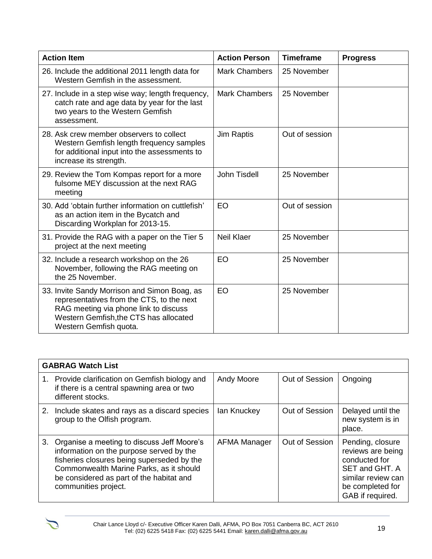| <b>Action Item</b>                                                                                                                                                                                     | <b>Action Person</b> | <b>Timeframe</b> | <b>Progress</b> |
|--------------------------------------------------------------------------------------------------------------------------------------------------------------------------------------------------------|----------------------|------------------|-----------------|
| 26. Include the additional 2011 length data for<br>Western Gemfish in the assessment.                                                                                                                  | <b>Mark Chambers</b> | 25 November      |                 |
| 27. Include in a step wise way; length frequency,<br>catch rate and age data by year for the last<br>two years to the Western Gemfish<br>assessment.                                                   | <b>Mark Chambers</b> | 25 November      |                 |
| 28. Ask crew member observers to collect<br>Western Gemfish length frequency samples<br>for additional input into the assessments to<br>increase its strength.                                         | Jim Raptis           | Out of session   |                 |
| 29. Review the Tom Kompas report for a more<br>fulsome MEY discussion at the next RAG<br>meeting                                                                                                       | John Tisdell         | 25 November      |                 |
| 30. Add 'obtain further information on cuttlefish'<br>as an action item in the Bycatch and<br>Discarding Workplan for 2013-15.                                                                         | EO                   | Out of session   |                 |
| 31. Provide the RAG with a paper on the Tier 5<br>project at the next meeting                                                                                                                          | <b>Neil Klaer</b>    | 25 November      |                 |
| 32. Include a research workshop on the 26<br>November, following the RAG meeting on<br>the 25 November.                                                                                                | <b>EO</b>            | 25 November      |                 |
| 33. Invite Sandy Morrison and Simon Boag, as<br>representatives from the CTS, to the next<br>RAG meeting via phone link to discuss<br>Western Gemfish, the CTS has allocated<br>Western Gemfish quota. | <b>EO</b>            | 25 November      |                 |

| <b>GABRAG Watch List</b> |                                                                                                                                                                                                                                                        |                   |                |                                                                                                                                        |  |  |
|--------------------------|--------------------------------------------------------------------------------------------------------------------------------------------------------------------------------------------------------------------------------------------------------|-------------------|----------------|----------------------------------------------------------------------------------------------------------------------------------------|--|--|
|                          | 1. Provide clarification on Gemfish biology and<br>if there is a central spawning area or two<br>different stocks.                                                                                                                                     | <b>Andy Moore</b> | Out of Session | Ongoing                                                                                                                                |  |  |
|                          | 2. Include skates and rays as a discard species<br>group to the Olfish program.                                                                                                                                                                        | lan Knuckey       | Out of Session | Delayed until the<br>new system is in<br>place.                                                                                        |  |  |
|                          | 3. Organise a meeting to discuss Jeff Moore's<br>information on the purpose served by the<br>fisheries closures being superseded by the<br>Commonwealth Marine Parks, as it should<br>be considered as part of the habitat and<br>communities project. | AFMA Manager      | Out of Session | Pending, closure<br>reviews are being<br>conducted for<br>SET and GHT. A<br>similar review can<br>be completed for<br>GAB if required. |  |  |

 $\sum$